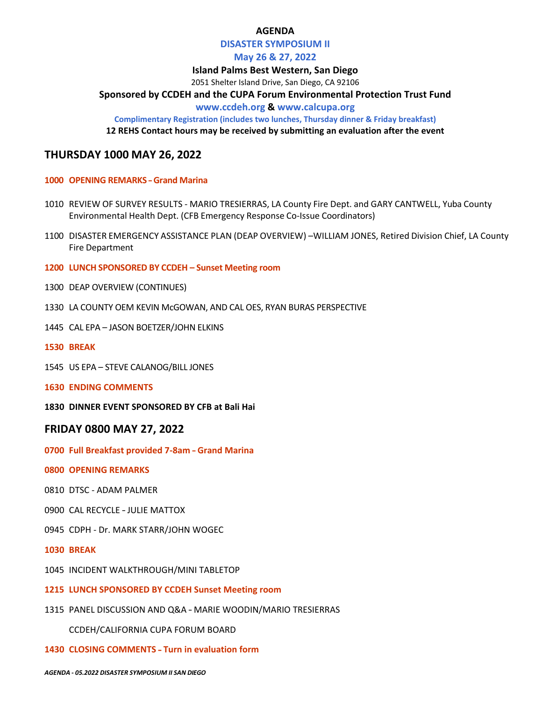## **AGENDA**

## **DISASTER SYMPOSIUM II**

## **May 26 & 27, 2022**

**Island Palms Best Western, San Diego**

2051 Shelter Island Drive, San Diego, CA 92106

**Sponsored by CCDEH and the CUPA Forum Environmental Protection Trust Fund**

## **www.ccdeh.org & www.calcupa.org**

**Complimentary Registration (includes two lunches, Thursday dinner & Friday breakfast)**

**12 REHS Contact hours may be received by submitting an evaluation after the event**

## **THURSDAY 1000 MAY 26, 2022**

## **1000 OPENING REMARKS** – **Grand Marina**

- 1010 REVIEW OF SURVEY RESULTS MARIO TRESIERRAS, LA County Fire Dept. and GARY CANTWELL, Yuba County Environmental Health Dept. (CFB Emergency Response Co-Issue Coordinators)
- 1100 DISASTER EMERGENCY ASSISTANCE PLAN (DEAP OVERVIEW) –WILLIAM JONES, Retired Division Chief, LA County Fire Department
- **1200 LUNCH SPONSORED BY CCDEH – Sunset Meeting room**
- 1300 DEAP OVERVIEW (CONTINUES)
- 1330 LA COUNTY OEM KEVIN McGOWAN, AND CAL OES, RYAN BURAS PERSPECTIVE
- 1445 CAL EPA JASON BOETZER/JOHN ELKINS
- **1530 BREAK**
- 1545 US EPA STEVE CALANOG/BILL JONES
- **1630 ENDING COMMENTS**
- **1830 DINNER EVENT SPONSORED BY CFB at Bali Hai**

## **FRIDAY 0800 MAY 27, 2022**

**0700 Full Breakfast provided 7-8am** – **Grand Marina**

## **0800 OPENING REMARKS**

- 0810 DTSC ADAM PALMER
- 0900 CAL RECYCLE JULIE MATTOX
- 0945 CDPH Dr. MARK STARR/JOHN WOGEC
- **1030 BREAK**
- 1045 INCIDENT WALKTHROUGH/MINI TABLETOP
- **1215 LUNCH SPONSORED BY CCDEH Sunset Meeting room**
- 1315 PANEL DISCUSSION AND Q&A MARIE WOODIN/MARIO TRESIERRAS

CCDEH/CALIFORNIA CUPA FORUM BOARD

## **1430 CLOSING COMMENTS** – **Turn in evaluation form**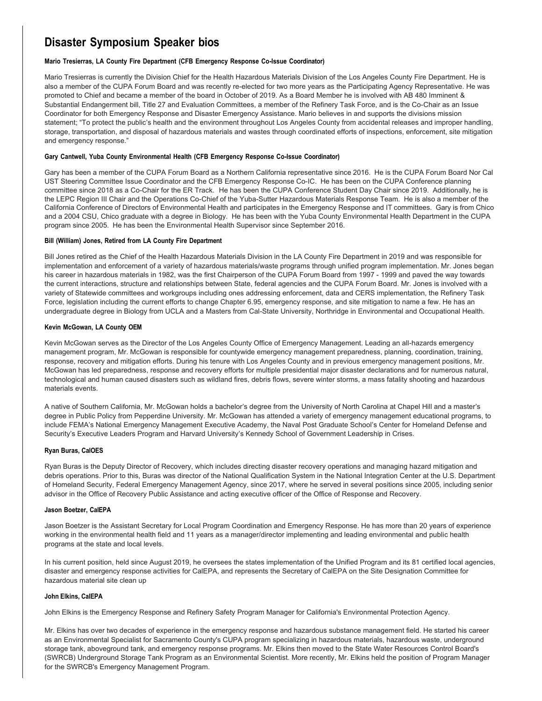## **Disaster Symposium Speaker bios**

#### **Mario Tresierras, LA County Fire Department (CFB Emergency Response Co-Issue Coordinator)**

Mario Tresierras is currently the Division Chief for the Health Hazardous Materials Division of the Los Angeles County Fire Department. He is also a member of the CUPA Forum Board and was recently re-elected for two more years as the Participating Agency Representative. He was promoted to Chief and became a member of the board in October of 2019. As a Board Member he is involved with AB 480 Imminent & Substantial Endangerment bill, Title 27 and Evaluation Committees, a member of the Refinery Task Force, and is the Co-Chair as an Issue Coordinator for both Emergency Response and Disaster Emergency Assistance. Mario believes in and supports the divisions mission statement; "To protect the public's health and the environment throughout Los Angeles County from accidental releases and improper handling, storage, transportation, and disposal of hazardous materials and wastes through coordinated efforts of inspections, enforcement, site mitigation and emergency response."

#### **Gary Cantwell, Yuba County Environmental Health (CFB Emergency Response Co-Issue Coordinator)**

Gary has been a member of the CUPA Forum Board as a Northern California representative since 2016. He is the CUPA Forum Board Nor Cal UST Steering Committee Issue Coordinator and the CFB Emergency Response Co-IC. He has been on the CUPA Conference planning committee since 2018 as a Co-Chair for the ER Track. He has been the CUPA Conference Student Day Chair since 2019. Additionally, he is the LEPC Region III Chair and the Operations Co-Chief of the Yuba-Sutter Hazardous Materials Response Team. He is also a member of the California Conference of Directors of Environmental Health and participates in the Emergency Response and IT committees. Gary is from Chico and a 2004 CSU, Chico graduate with a degree in Biology. He has been with the Yuba County Environmental Health Department in the CUPA program since 2005. He has been the Environmental Health Supervisor since September 2016.

#### **Bill (William) Jones, Retired from LA County Fire Department**

Bill Jones retired as the Chief of the Health Hazardous Materials Division in the LA County Fire Department in 2019 and was responsible for implementation and enforcement of a variety of hazardous materials/waste programs through unified program implementation. Mr. Jones began his career in hazardous materials in 1982, was the first Chairperson of the CUPA Forum Board from 1997 - 1999 and paved the way towards the current interactions, structure and relationships between State, federal agencies and the CUPA Forum Board. Mr. Jones is involved with a variety of Statewide committees and workgroups including ones addressing enforcement, data and CERS implementation, the Refinery Task Force, legislation including the current efforts to change Chapter 6.95, emergency response, and site mitigation to name a few. He has an undergraduate degree in Biology from UCLA and a Masters from Cal-State University, Northridge in Environmental and Occupational Health.

#### **Kevin McGowan, LA County OEM**

Kevin McGowan serves as the Director of the Los Angeles County Office of Emergency Management. Leading an all-hazards emergency management program, Mr. McGowan is responsible for countywide emergency management preparedness, planning, coordination, training, response, recovery and mitigation efforts. During his tenure with Los Angeles County and in previous emergency management positions, Mr. McGowan has led preparedness, response and recovery efforts for multiple presidential major disaster declarations and for numerous natural, technological and human caused disasters such as wildland fires, debris flows, severe winter storms, a mass fatality shooting and hazardous materials events.

A native of Southern California, Mr. McGowan holds a bachelor's degree from the University of North Carolina at Chapel Hill and a master's degree in Public Policy from Pepperdine University. Mr. McGowan has attended a variety of emergency management educational programs, to include FEMA's National Emergency Management Executive Academy, the Naval Post Graduate School's Center for Homeland Defense and Security's Executive Leaders Program and Harvard University's Kennedy School of Government Leadership in Crises.

#### **Ryan Buras, CalOES**

Ryan Buras is the Deputy Director of Recovery, which includes directing disaster recovery operations and managing hazard mitigation and debris operations. Prior to this, Buras was director of the National Qualification System in the National Integration Center at the U.S. Department of Homeland Security, Federal Emergency Management Agency, since 2017, where he served in several positions since 2005, including senior advisor in the Office of Recovery Public Assistance and acting executive officer of the Office of Response and Recovery.

#### **Jason Boetzer, CalEPA**

Jason Boetzer is the Assistant Secretary for Local Program Coordination and Emergency Response. He has more than 20 years of experience working in the environmental health field and 11 years as a manager/director implementing and leading environmental and public health programs at the state and local levels.

In his current position, held since August 2019, he oversees the states implementation of the Unified Program and its 81 certified local agencies, disaster and emergency response activities for CalEPA, and represents the Secretary of CalEPA on the Site Designation Committee for hazardous material site clean up

#### **John Elkins, CalEPA**

John Elkins is the Emergency Response and Refinery Safety Program Manager for California's Environmental Protection Agency.

Mr. Elkins has over two decades of experience in the emergency response and hazardous substance management field. He started his career as an Environmental Specialist for Sacramento County's CUPA program specializing in hazardous materials, hazardous waste, underground storage tank, aboveground tank, and emergency response programs. Mr. Elkins then moved to the State Water Resources Control Board's (SWRCB) Underground Storage Tank Program as an Environmental Scientist. More recently, Mr. Elkins held the position of Program Manager for the SWRCB's Emergency Management Program.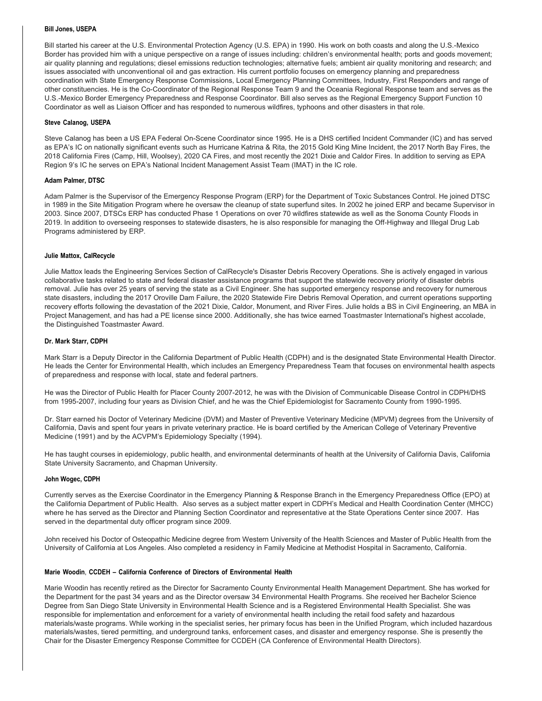#### **Bill Jones, USEPA**

Bill started his career at the U.S. Environmental Protection Agency (U.S. EPA) in 1990. His work on both coasts and along the U.S.-Mexico Border has provided him with a unique perspective on a range of issues including: children's environmental health; ports and goods movement; air quality planning and regulations; diesel emissions reduction technologies; alternative fuels; ambient air quality monitoring and research; and issues associated with unconventional oil and gas extraction. His current portfolio focuses on emergency planning and preparedness coordination with State Emergency Response Commissions, Local Emergency Planning Committees, Industry, First Responders and range of other constituencies. He is the Co-Coordinator of the Regional Response Team 9 and the Oceania Regional Response team and serves as the U.S.-Mexico Border Emergency Preparedness and Response Coordinator. Bill also serves as the Regional Emergency Support Function 10 Coordinator as well as Liaison Officer and has responded to numerous wildfires, typhoons and other disasters in that role.

#### **Steve Calanog, USEPA**

Steve Calanog has been a US EPA Federal On-Scene Coordinator since 1995. He is a DHS certified Incident Commander (IC) and has served as EPA's IC on nationally significant events such as Hurricane Katrina & Rita, the 2015 Gold King Mine Incident, the 2017 North Bay Fires, the 2018 California Fires (Camp, Hill, Woolsey), 2020 CA Fires, and most recently the 2021 Dixie and Caldor Fires. In addition to serving as EPA Region 9's IC he serves on EPA's National Incident Management Assist Team (IMAT) in the IC role.

#### **Adam Palmer, DTSC**

Adam Palmer is the Supervisor of the Emergency Response Program (ERP) for the Department of Toxic Substances Control. He joined DTSC in 1989 in the Site Mitigation Program where he oversaw the cleanup of state superfund sites. In 2002 he joined ERP and became Supervisor in 2003. Since 2007, DTSCs ERP has conducted Phase 1 Operations on over 70 wildfires statewide as well as the Sonoma County Floods in 2019. In addition to overseeing responses to statewide disasters, he is also responsible for managing the Off-Highway and Illegal Drug Lab Programs administered by ERP.

#### **Julie Mattox, CalRecycle**

Julie Mattox leads the Engineering Services Section of CalRecycle's Disaster Debris Recovery Operations. She is actively engaged in various collaborative tasks related to state and federal disaster assistance programs that support the statewide recovery priority of disaster debris removal. Julie has over 25 years of serving the state as a Civil Engineer. She has supported emergency response and recovery for numerous state disasters, including the 2017 Oroville Dam Failure, the 2020 Statewide Fire Debris Removal Operation, and current operations supporting recovery efforts following the devastation of the 2021 Dixie, Caldor, Monument, and River Fires. Julie holds a BS in Civil Engineering, an MBA in Project Management, and has had a PE license since 2000. Additionally, she has twice earned Toastmaster International's highest accolade, the Distinguished Toastmaster Award.

#### **Dr. Mark Starr, CDPH**

Mark Starr is a Deputy Director in the California Department of Public Health (CDPH) and is the designated State Environmental Health Director. He leads the Center for Environmental Health, which includes an Emergency Preparedness Team that focuses on environmental health aspects of preparedness and response with local, state and federal partners.

He was the Director of Public Health for Placer County 2007-2012, he was with the Division of Communicable Disease Control in CDPH/DHS from 1995-2007, including four years as Division Chief, and he was the Chief Epidemiologist for Sacramento County from 1990-1995.

Dr. Starr earned his Doctor of Veterinary Medicine (DVM) and Master of Preventive Veterinary Medicine (MPVM) degrees from the University of California, Davis and spent four years in private veterinary practice. He is board certified by the American College of Veterinary Preventive Medicine (1991) and by the ACVPM's Epidemiology Specialty (1994).

He has taught courses in epidemiology, public health, and environmental determinants of health at the University of California Davis, California State University Sacramento, and Chapman University.

#### **John Wogec, CDPH**

Currently serves as the Exercise Coordinator in the Emergency Planning & Response Branch in the Emergency Preparedness Office (EPO) at the California Department of Public Health. Also serves as a subject matter expert in CDPH's Medical and Health Coordination Center (MHCC) where he has served as the Director and Planning Section Coordinator and representative at the State Operations Center since 2007. Has served in the departmental duty officer program since 2009.

John received his Doctor of Osteopathic Medicine degree from Western University of the Health Sciences and Master of Public Health from the University of California at Los Angeles. Also completed a residency in Family Medicine at Methodist Hospital in Sacramento, California.

#### **Marie Woodin**, **CCDEH – California Conference of Directors of Environmental Health**

Marie Woodin has recently retired as the Director for Sacramento County Environmental Health Management Department. She has worked for the Department for the past 34 years and as the Director oversaw 34 Environmental Health Programs. She received her Bachelor Science Degree from San Diego State University in Environmental Health Science and is a Registered Environmental Health Specialist. She was responsible for implementation and enforcement for a variety of environmental health including the retail food safety and hazardous materials/waste programs. While working in the specialist series, her primary focus has been in the Unified Program, which included hazardous materials/wastes, tiered permitting, and underground tanks, enforcement cases, and disaster and emergency response. She is presently the Chair for the Disaster Emergency Response Committee for CCDEH (CA Conference of Environmental Health Directors).